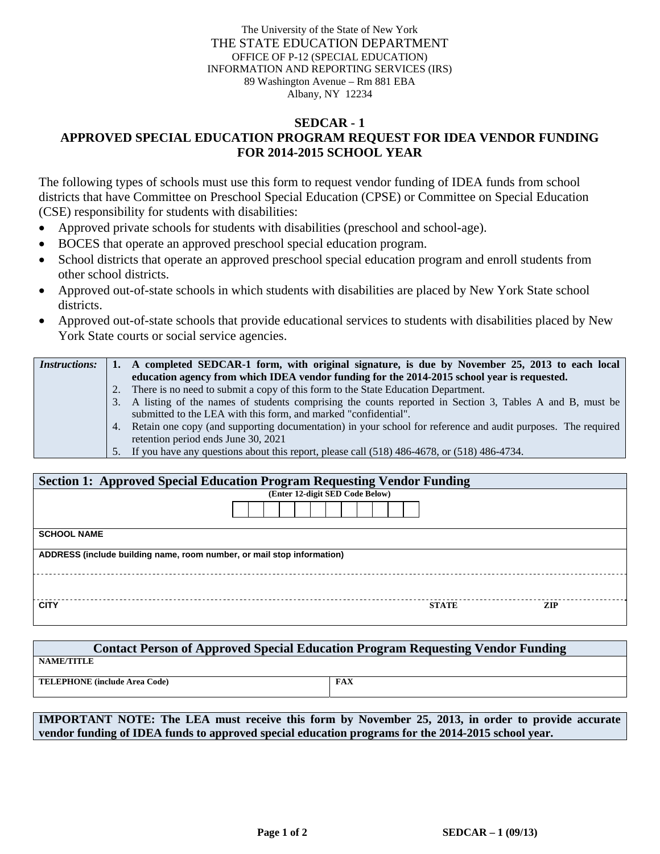The University of the State of New York THE STATE EDUCATION DEPARTMENT OFFICE OF P-12 (SPECIAL EDUCATION) INFORMATION AND REPORTING SERVICES (IRS) 89 Washington Avenue – Rm 881 EBA Albany, NY 12234

## **SEDCAR - 1 APPROVED SPECIAL EDUCATION PROGRAM REQUEST FOR IDEA VENDOR FUNDING FOR 2014-2015 SCHOOL YEAR**

The following types of schools must use this form to request vendor funding of IDEA funds from school districts that have Committee on Preschool Special Education (CPSE) or Committee on Special Education (CSE) responsibility for students with disabilities:

- Approved private schools for students with disabilities (preschool and school-age).
- BOCES that operate an approved preschool special education program.
- School districts that operate an approved preschool special education program and enroll students from other school districts.
- Approved out-of-state schools in which students with disabilities are placed by New York State school districts.
- Approved out-of-state schools that provide educational services to students with disabilities placed by New York State courts or social service agencies.

| <i>Instructions:</i> | 1. A completed SEDCAR-1 form, with original signature, is due by November 25, 2013 to each local                |  |  |  |
|----------------------|-----------------------------------------------------------------------------------------------------------------|--|--|--|
|                      | education agency from which IDEA vendor funding for the 2014-2015 school year is requested.                     |  |  |  |
|                      | 2. There is no need to submit a copy of this form to the State Education Department.                            |  |  |  |
|                      | 3. A listing of the names of students comprising the counts reported in Section 3, Tables A and B, must be      |  |  |  |
|                      | submitted to the LEA with this form, and marked "confidential".                                                 |  |  |  |
|                      | 4. Retain one copy (and supporting documentation) in your school for reference and audit purposes. The required |  |  |  |
|                      | retention period ends June 30, 2021                                                                             |  |  |  |
|                      | 5. If you have any questions about this report, please call (518) 486-4678, or (518) 486-4734.                  |  |  |  |

| <b>Section 1: Approved Special Education Program Requesting Vendor Funding</b> |  |              |            |  |  |  |  |  |
|--------------------------------------------------------------------------------|--|--------------|------------|--|--|--|--|--|
| (Enter 12-digit SED Code Below)                                                |  |              |            |  |  |  |  |  |
|                                                                                |  |              |            |  |  |  |  |  |
| <b>SCHOOL NAME</b>                                                             |  |              |            |  |  |  |  |  |
| ADDRESS (include building name, room number, or mail stop information)         |  |              |            |  |  |  |  |  |
|                                                                                |  |              |            |  |  |  |  |  |
| <b>CITY</b>                                                                    |  | <b>STATE</b> | <b>ZIP</b> |  |  |  |  |  |

| <b>Contact Person of Approved Special Education Program Requesting Vendor Funding</b> |            |  |  |  |  |  |  |  |
|---------------------------------------------------------------------------------------|------------|--|--|--|--|--|--|--|
| <b>NAME/TITLE</b>                                                                     |            |  |  |  |  |  |  |  |
| TELEPHONE (include Area Code)                                                         | <b>FAX</b> |  |  |  |  |  |  |  |

**IMPORTANT NOTE: The LEA must receive this form by November 25, 2013, in order to provide accurate vendor funding of IDEA funds to approved special education programs for the 2014-2015 school year.**